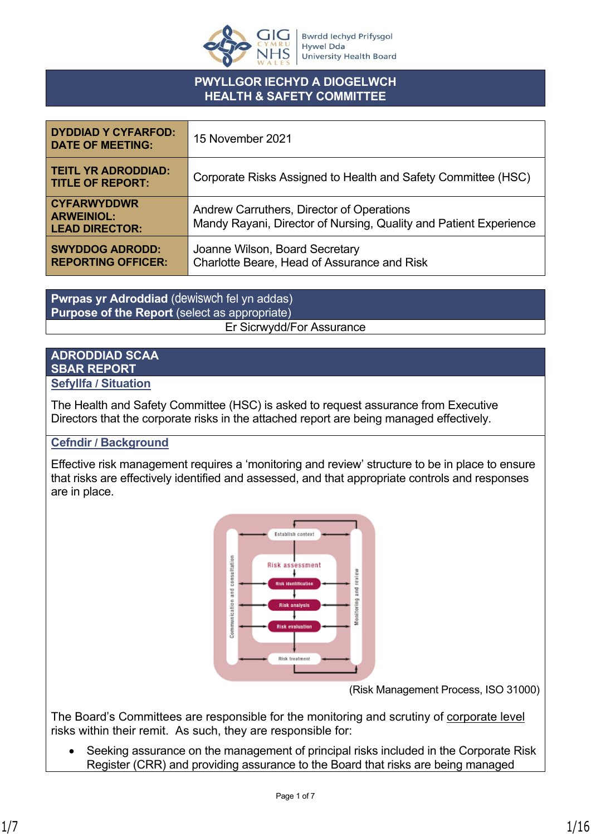

## **PWYLLGOR IECHYD A DIOGELWCH HEALTH & SAFETY COMMITTEE**

| <b>DYDDIAD Y CYFARFOD:</b><br><b>DATE OF MEETING:</b>            | 15 November 2021                                                                                               |
|------------------------------------------------------------------|----------------------------------------------------------------------------------------------------------------|
| <b>TEITL YR ADRODDIAD:</b><br><b>TITLE OF REPORT:</b>            | Corporate Risks Assigned to Health and Safety Committee (HSC)                                                  |
| <b>CYFARWYDDWR</b><br><b>ARWEINIOL:</b><br><b>LEAD DIRECTOR:</b> | Andrew Carruthers, Director of Operations<br>Mandy Rayani, Director of Nursing, Quality and Patient Experience |
| <b>SWYDDOG ADRODD:</b><br><b>REPORTING OFFICER:</b>              | Joanne Wilson, Board Secretary<br>Charlotte Beare, Head of Assurance and Risk                                  |

**Pwrpas yr Adroddiad** (dewiswch fel yn addas) **Purpose of the Report** (select as appropriate) Er Sicrwydd/For Assurance

# **ADRODDIAD SCAA SBAR REPORT**

#### **Sefyllfa / Situation**

The Health and Safety Committee (HSC) is asked to request assurance from Executive Directors that the corporate risks in the attached report are being managed effectively.

## **Cefndir / Background**

Effective risk management requires a 'monitoring and review' structure to be in place to ensure that risks are effectively identified and assessed, and that appropriate controls and responses are in place.



(Risk Management Process, ISO 31000)

The Board's Committees are responsible for the monitoring and scrutiny of corporate level risks within their remit. As such, they are responsible for:

 Seeking assurance on the management of principal risks included in the Corporate Risk Register (CRR) and providing assurance to the Board that risks are being managed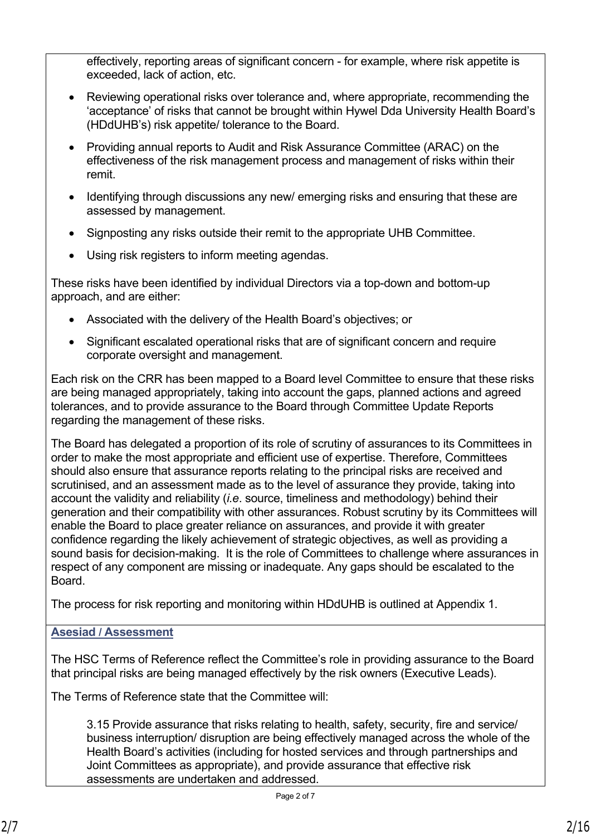effectively, reporting areas of significant concern - for example, where risk appetite is exceeded, lack of action, etc.

- Reviewing operational risks over tolerance and, where appropriate, recommending the 'acceptance' of risks that cannot be brought within Hywel Dda University Health Board's (HDdUHB's) risk appetite/ tolerance to the Board.
- Providing annual reports to Audit and Risk Assurance Committee (ARAC) on the effectiveness of the risk management process and management of risks within their remit.
- Identifying through discussions any new/ emerging risks and ensuring that these are assessed by management.
- Signposting any risks outside their remit to the appropriate UHB Committee.
- Using risk registers to inform meeting agendas.

These risks have been identified by individual Directors via a top-down and bottom-up approach, and are either:

- Associated with the delivery of the Health Board's objectives; or
- Significant escalated operational risks that are of significant concern and require corporate oversight and management.

Each risk on the CRR has been mapped to a Board level Committee to ensure that these risks are being managed appropriately, taking into account the gaps, planned actions and agreed tolerances, and to provide assurance to the Board through Committee Update Reports regarding the management of these risks.

The Board has delegated a proportion of its role of scrutiny of assurances to its Committees in order to make the most appropriate and efficient use of expertise. Therefore, Committees should also ensure that assurance reports relating to the principal risks are received and scrutinised, and an assessment made as to the level of assurance they provide, taking into account the validity and reliability (*i.e*. source, timeliness and methodology) behind their generation and their compatibility with other assurances. Robust scrutiny by its Committees will enable the Board to place greater reliance on assurances, and provide it with greater confidence regarding the likely achievement of strategic objectives, as well as providing a sound basis for decision-making. It is the role of Committees to challenge where assurances in respect of any component are missing or inadequate. Any gaps should be escalated to the Board.

The process for risk reporting and monitoring within HDdUHB is outlined at Appendix 1.

## **Asesiad / Assessment**

The HSC Terms of Reference reflect the Committee's role in providing assurance to the Board that principal risks are being managed effectively by the risk owners (Executive Leads).

The Terms of Reference state that the Committee will:

3.15 Provide assurance that risks relating to health, safety, security, fire and service/ business interruption/ disruption are being effectively managed across the whole of the Health Board's activities (including for hosted services and through partnerships and Joint Committees as appropriate), and provide assurance that effective risk assessments are undertaken and addressed.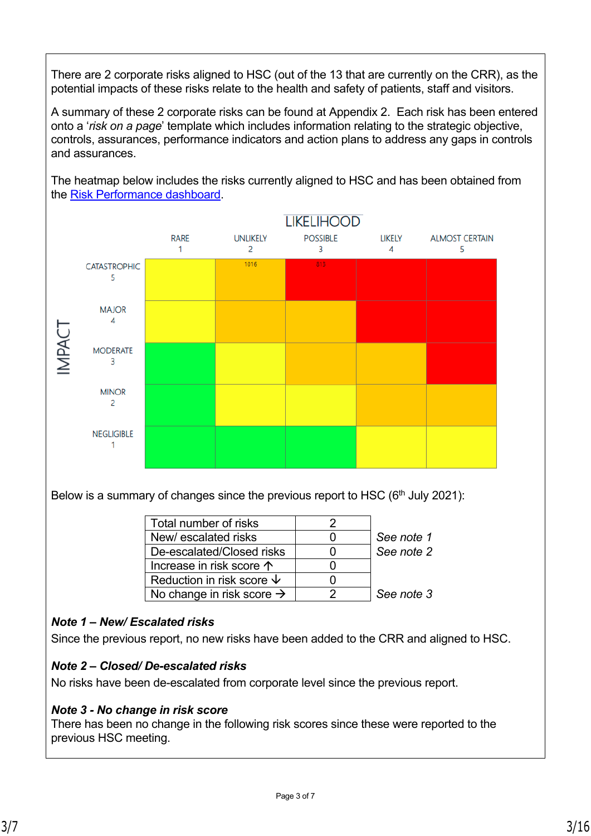There are 2 corporate risks aligned to HSC (out of the 13 that are currently on the CRR), as the potential impacts of these risks relate to the health and safety of patients, staff and visitors.

A summary of these 2 corporate risks can be found at Appendix 2. Each risk has been entered onto a '*risk on a page*' template which includes information relating to the strategic objective, controls, assurances, performance indicators and action plans to address any gaps in controls and assurances.

The heatmap below includes the risks currently aligned to HSC and has been obtained from the [Risk Performance dashboard](http://7a201srvpowerbi.cymru.nhs.uk/reportspbi/powerbi/Live%20Reports/Performance/Risk%20Performance%20Dashboard?rs:Embed=true).



Below is a summary of changes since the previous report to HSC ( $6<sup>th</sup>$  July 2021):

| Total number of risks                 |            |
|---------------------------------------|------------|
| New/escalated risks                   | See note 1 |
| De-escalated/Closed risks             | See note 2 |
| Increase in risk score $\uparrow$     |            |
| Reduction in risk score $\downarrow$  |            |
| No change in risk score $\rightarrow$ | See note 3 |

## *Note 1 – New/ Escalated risks*

Since the previous report, no new risks have been added to the CRR and aligned to HSC.

## *Note 2 – Closed/ De-escalated risks*

No risks have been de-escalated from corporate level since the previous report.

## *Note 3 - No change in risk score*

There has been no change in the following risk scores since these were reported to the previous HSC meeting.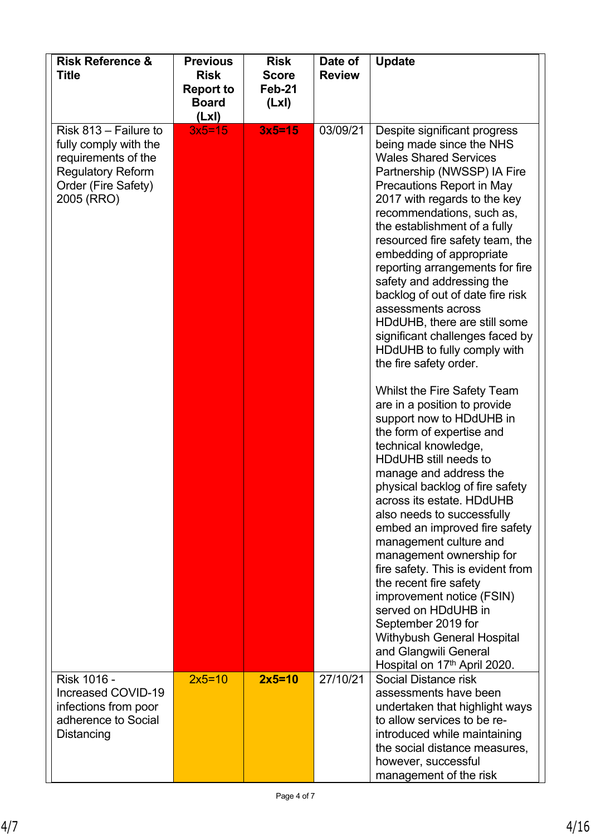| <b>Risk Reference &amp;</b><br><b>Title</b>                                                                                            | <b>Previous</b><br><b>Risk</b><br><b>Report to</b><br><b>Board</b><br>(LxI) | <b>Risk</b><br><b>Score</b><br>Feb-21<br>(Lx) | Date of<br><b>Review</b> | <b>Update</b>                                                                                                                                                                                                                                                                                                                                                                                                                                                                                                                                                                                                                                                                                                                                                                                                                                                                                                                                                                                                                                                                                                                                                                                                            |
|----------------------------------------------------------------------------------------------------------------------------------------|-----------------------------------------------------------------------------|-----------------------------------------------|--------------------------|--------------------------------------------------------------------------------------------------------------------------------------------------------------------------------------------------------------------------------------------------------------------------------------------------------------------------------------------------------------------------------------------------------------------------------------------------------------------------------------------------------------------------------------------------------------------------------------------------------------------------------------------------------------------------------------------------------------------------------------------------------------------------------------------------------------------------------------------------------------------------------------------------------------------------------------------------------------------------------------------------------------------------------------------------------------------------------------------------------------------------------------------------------------------------------------------------------------------------|
| Risk 813 - Failure to<br>fully comply with the<br>requirements of the<br><b>Regulatory Reform</b><br>Order (Fire Safety)<br>2005 (RRO) | $3x5=15$                                                                    | $3x5=15$                                      | 03/09/21                 | Despite significant progress<br>being made since the NHS<br><b>Wales Shared Services</b><br>Partnership (NWSSP) IA Fire<br>Precautions Report in May<br>2017 with regards to the key<br>recommendations, such as,<br>the establishment of a fully<br>resourced fire safety team, the<br>embedding of appropriate<br>reporting arrangements for fire<br>safety and addressing the<br>backlog of out of date fire risk<br>assessments across<br>HDdUHB, there are still some<br>significant challenges faced by<br>HDdUHB to fully comply with<br>the fire safety order.<br>Whilst the Fire Safety Team<br>are in a position to provide<br>support now to HDdUHB in<br>the form of expertise and<br>technical knowledge,<br><b>HDdUHB</b> still needs to<br>manage and address the<br>physical backlog of fire safety<br>across its estate. HDdUHB<br>also needs to successfully<br>embed an improved fire safety<br>management culture and<br>management ownership for<br>fire safety. This is evident from<br>the recent fire safety<br>improvement notice (FSIN)<br>served on HDdUHB in<br>September 2019 for<br><b>Withybush General Hospital</b><br>and Glangwili General<br>Hospital on 17 <sup>th</sup> April 2020. |
| Risk 1016 -<br>Increased COVID-19<br>infections from poor<br>adherence to Social<br>Distancing                                         | $2x5=10$                                                                    | $2x5=10$                                      | 27/10/21                 | Social Distance risk<br>assessments have been<br>undertaken that highlight ways<br>to allow services to be re-<br>introduced while maintaining<br>the social distance measures,<br>however, successful<br>management of the risk                                                                                                                                                                                                                                                                                                                                                                                                                                                                                                                                                                                                                                                                                                                                                                                                                                                                                                                                                                                         |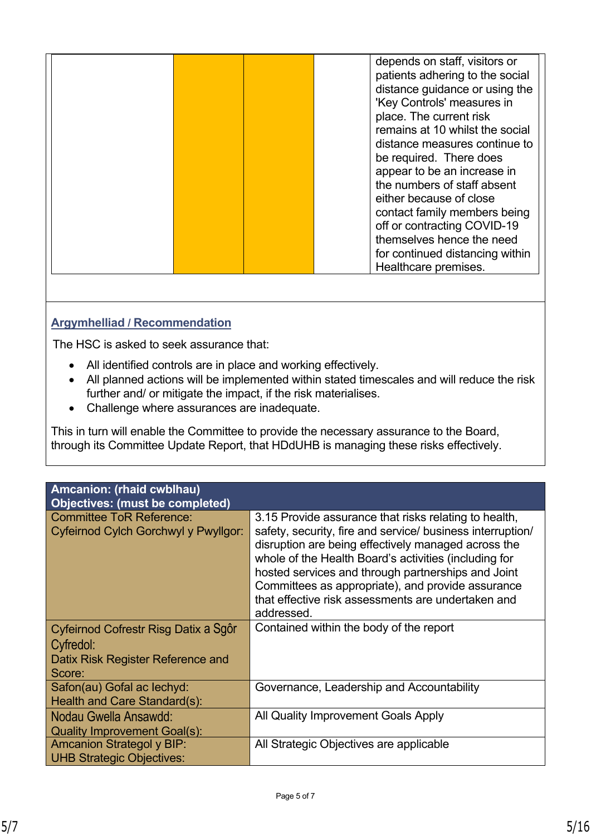| Healthcare premises. |  |  |  |  | depends on staff, visitors or<br>patients adhering to the social<br>distance guidance or using the<br>'Key Controls' measures in<br>place. The current risk<br>remains at 10 whilst the social<br>distance measures continue to<br>be required. There does<br>appear to be an increase in<br>the numbers of staff absent<br>either because of close<br>contact family members being<br>off or contracting COVID-19<br>themselves hence the need<br>for continued distancing within |
|----------------------|--|--|--|--|------------------------------------------------------------------------------------------------------------------------------------------------------------------------------------------------------------------------------------------------------------------------------------------------------------------------------------------------------------------------------------------------------------------------------------------------------------------------------------|
|----------------------|--|--|--|--|------------------------------------------------------------------------------------------------------------------------------------------------------------------------------------------------------------------------------------------------------------------------------------------------------------------------------------------------------------------------------------------------------------------------------------------------------------------------------------|

# **Argymhelliad / Recommendation**

The HSC is asked to seek assurance that:

- All identified controls are in place and working effectively.
- All planned actions will be implemented within stated timescales and will reduce the risk further and/ or mitigate the impact, if the risk materialises.
- Challenge where assurances are inadequate.

This in turn will enable the Committee to provide the necessary assurance to the Board, through its Committee Update Report, that HDdUHB is managing these risks effectively.

| Amcanion: (rhaid cwblhau)<br><b>Objectives: (must be completed)</b>                              |                                                                                                                                                                                                                                                                                                                                                                                                                    |
|--------------------------------------------------------------------------------------------------|--------------------------------------------------------------------------------------------------------------------------------------------------------------------------------------------------------------------------------------------------------------------------------------------------------------------------------------------------------------------------------------------------------------------|
| <b>Committee ToR Reference:</b><br>Cyfeirnod Cylch Gorchwyl y Pwyllgor:                          | 3.15 Provide assurance that risks relating to health,<br>safety, security, fire and service/ business interruption/<br>disruption are being effectively managed across the<br>whole of the Health Board's activities (including for<br>hosted services and through partnerships and Joint<br>Committees as appropriate), and provide assurance<br>that effective risk assessments are undertaken and<br>addressed. |
| Cyfeirnod Cofrestr Risg Datix a Sgôr<br>Cyfredol:<br>Datix Risk Register Reference and<br>Score: | Contained within the body of the report                                                                                                                                                                                                                                                                                                                                                                            |
| Safon(au) Gofal ac lechyd:<br>Health and Care Standard(s):                                       | Governance, Leadership and Accountability                                                                                                                                                                                                                                                                                                                                                                          |
| Nodau Gwella Ansawdd:<br><b>Quality Improvement Goal(s):</b>                                     | All Quality Improvement Goals Apply                                                                                                                                                                                                                                                                                                                                                                                |
| <b>Amcanion Strategol y BIP:</b><br><b>UHB Strategic Objectives:</b>                             | All Strategic Objectives are applicable                                                                                                                                                                                                                                                                                                                                                                            |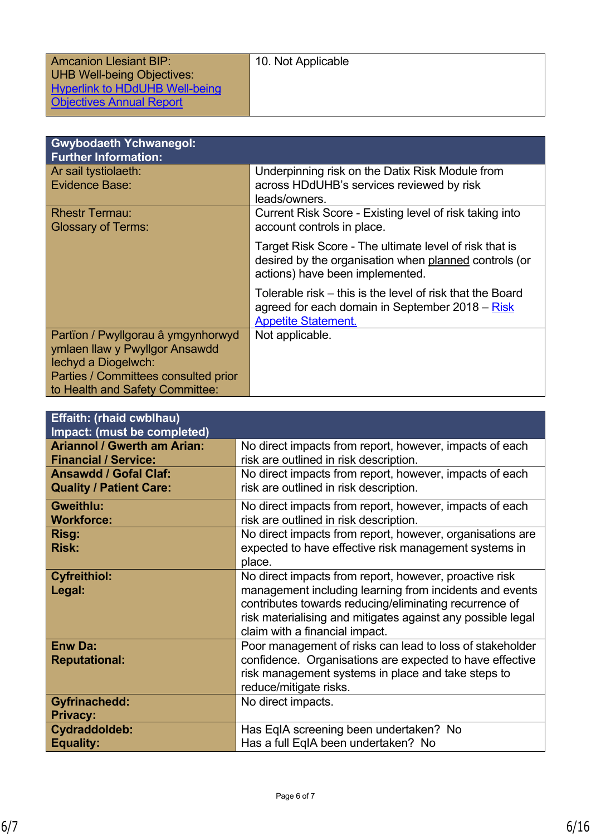| <b>Amcanion Llesiant BIP:</b>     | 10. Not Applicable |
|-----------------------------------|--------------------|
| <b>UHB Well-being Objectives:</b> |                    |
| Hyperlink to HDdUHB Well-being    |                    |
| <b>Objectives Annual Report</b>   |                    |

| <b>Gwybodaeth Ychwanegol:</b><br><b>Further Information:</b>                                                                                                           |                                                                                                                                                    |
|------------------------------------------------------------------------------------------------------------------------------------------------------------------------|----------------------------------------------------------------------------------------------------------------------------------------------------|
| Ar sail tystiolaeth:<br>Evidence Base:                                                                                                                                 | Underpinning risk on the Datix Risk Module from<br>across HDdUHB's services reviewed by risk<br>leads/owners.                                      |
| <b>Rhestr Termau:</b><br><b>Glossary of Terms:</b>                                                                                                                     | Current Risk Score - Existing level of risk taking into<br>account controls in place.                                                              |
|                                                                                                                                                                        | Target Risk Score - The ultimate level of risk that is<br>desired by the organisation when planned controls (or<br>actions) have been implemented. |
|                                                                                                                                                                        | Tolerable risk – this is the level of risk that the Board<br>agreed for each domain in September 2018 – Risk<br><b>Appetite Statement.</b>         |
| Partïon / Pwyllgorau â ymgynhorwyd<br>ymlaen llaw y Pwyllgor Ansawdd<br>lechyd a Diogelwch:<br>Parties / Committees consulted prior<br>to Health and Safety Committee: | Not applicable.                                                                                                                                    |

| <b>Effaith: (rhaid cwblhau)</b><br>Impact: (must be completed)    |                                                                                                                                                                                                                                                                              |
|-------------------------------------------------------------------|------------------------------------------------------------------------------------------------------------------------------------------------------------------------------------------------------------------------------------------------------------------------------|
| <b>Ariannol / Gwerth am Arian:</b><br><b>Financial / Service:</b> | No direct impacts from report, however, impacts of each<br>risk are outlined in risk description.                                                                                                                                                                            |
| <b>Ansawdd / Gofal Claf:</b><br><b>Quality / Patient Care:</b>    | No direct impacts from report, however, impacts of each<br>risk are outlined in risk description.                                                                                                                                                                            |
| <b>Gweithlu:</b><br><b>Workforce:</b>                             | No direct impacts from report, however, impacts of each<br>risk are outlined in risk description.                                                                                                                                                                            |
| Risg:<br><b>Risk:</b>                                             | No direct impacts from report, however, organisations are<br>expected to have effective risk management systems in<br>place.                                                                                                                                                 |
| <b>Cyfreithiol:</b><br>Legal:                                     | No direct impacts from report, however, proactive risk<br>management including learning from incidents and events<br>contributes towards reducing/eliminating recurrence of<br>risk materialising and mitigates against any possible legal<br>claim with a financial impact. |
| <b>Enw Da:</b><br><b>Reputational:</b>                            | Poor management of risks can lead to loss of stakeholder<br>confidence. Organisations are expected to have effective<br>risk management systems in place and take steps to<br>reduce/mitigate risks.                                                                         |
| <b>Gyfrinachedd:</b><br><b>Privacy:</b>                           | No direct impacts.                                                                                                                                                                                                                                                           |
| Cydraddoldeb:<br><b>Equality:</b>                                 | Has EqIA screening been undertaken? No<br>Has a full EqIA been undertaken? No                                                                                                                                                                                                |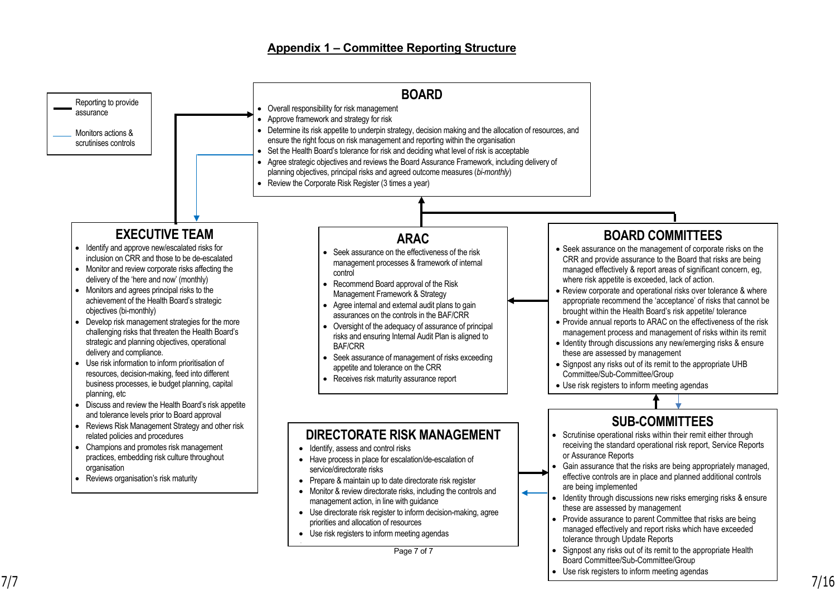#### **Appendix 1 – Committee Reporting Structure**

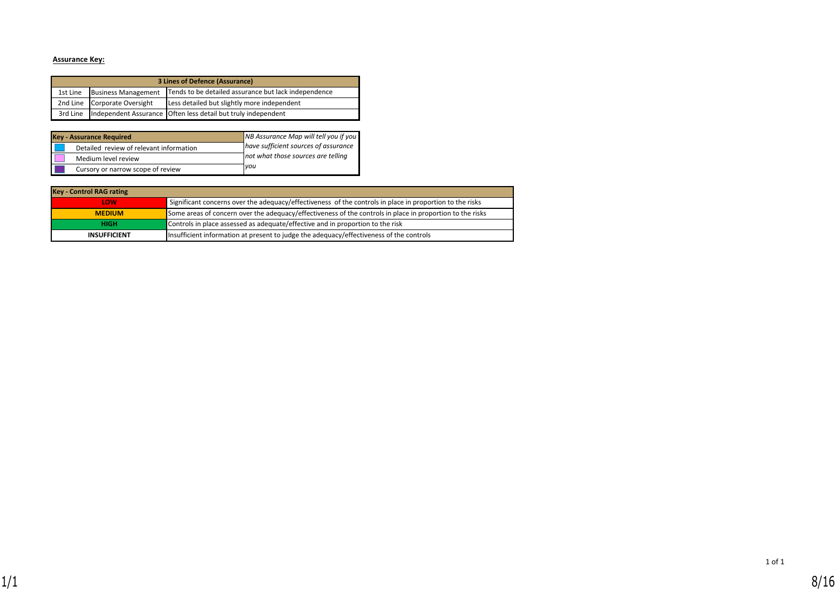#### **Assurance Key:**

| 3 Lines of Defence (Assurance)                                                                 |                              |                                                                            |  |  |
|------------------------------------------------------------------------------------------------|------------------------------|----------------------------------------------------------------------------|--|--|
| Tends to be detailed assurance but lack independence<br><b>Business Management</b><br>1st Line |                              |                                                                            |  |  |
|                                                                                                | 2nd Line Corporate Oversight | Less detailed but slightly more independent                                |  |  |
|                                                                                                |                              | 3rd Line   Independent Assurance   Often less detail but truly independent |  |  |

| <b>Key - Assurance Required</b>         | NB Assurance Map will tell you if you |
|-----------------------------------------|---------------------------------------|
| Detailed review of relevant information | have sufficient sources of assurance  |
| Medium level review                     | not what those sources are telling    |
| Cursory or narrow scope of review       | <b>vou</b>                            |

| <b>Key - Control RAG rating</b> |                                                                                                           |
|---------------------------------|-----------------------------------------------------------------------------------------------------------|
| LOW                             | Significant concerns over the adequacy/effectiveness of the controls in place in proportion to the risks  |
| <b>MEDIUM</b>                   | Some areas of concern over the adequacy/effectiveness of the controls in place in proportion to the risks |
| <b>HIGH</b>                     | Controls in place assessed as adequate/effective and in proportion to the risk                            |
| <b>INSUFFICIENT</b>             | Insufficient information at present to judge the adequacy/effectiveness of the controls                   |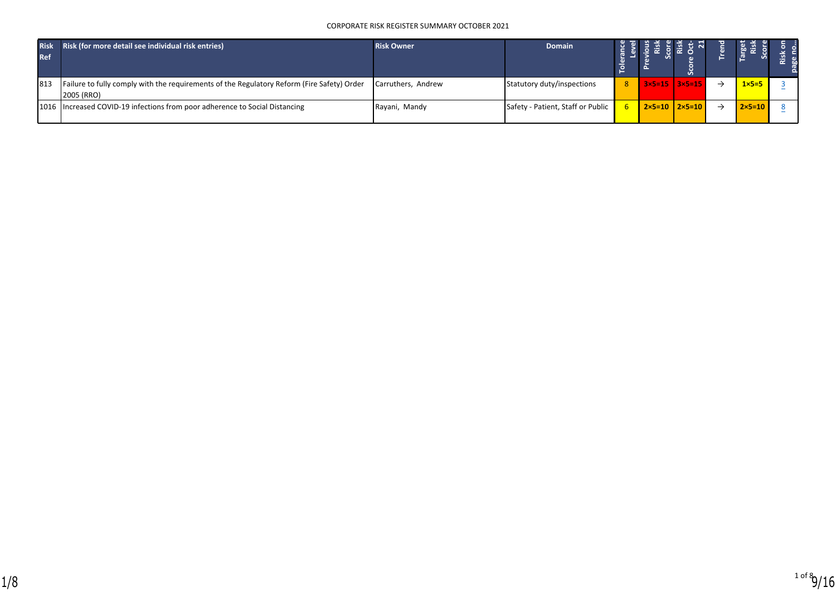#### CORPORATE RISK REGISTER SUMMARY OCTOBER 2021

| <b>Risk</b><br><b>Ref</b> | Risk (for more detail see individual risk entries)                                                       | <b>Risk Owner</b>  | <b>Domain</b>                     |                       |                            |                   |  |
|---------------------------|----------------------------------------------------------------------------------------------------------|--------------------|-----------------------------------|-----------------------|----------------------------|-------------------|--|
| 813                       | Failure to fully comply with the requirements of the Regulatory Reform (Fire Safety) Order<br>2005 (RRO) | Carruthers, Andrew | Statutory duty/inspections        | $8$   3×5=15   3×5=15 |                            | $1 \times 5 = 5$  |  |
|                           | 1016   Increased COVID-19 infections from poor adherence to Social Distancing                            | Rayani, Mandy      | Safety - Patient, Staff or Public |                       | $2 \times 5 = 10$   2×5=10 | $2 \times 5 = 10$ |  |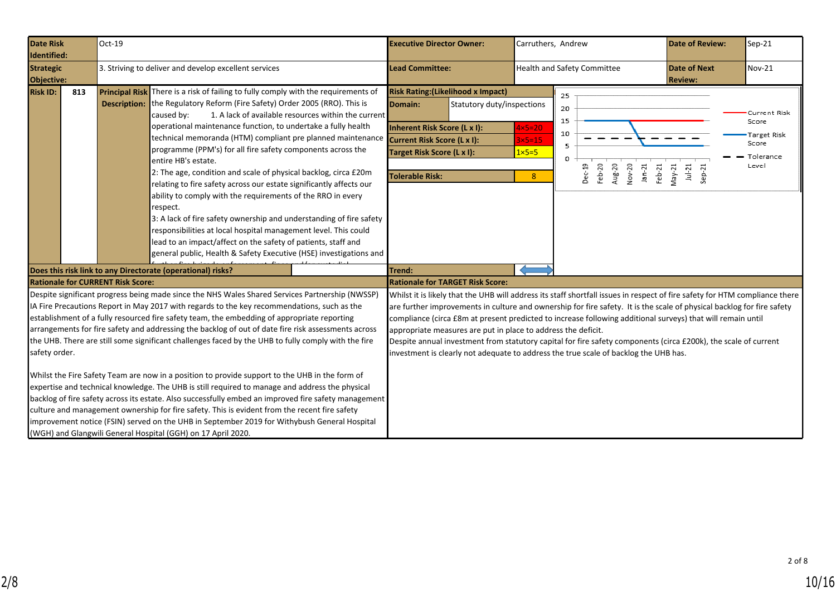<span id="page-9-0"></span>

| <b>Date Risk</b><br>Identified:                           | Oct-19 |                                                                                                                                                                                                                                                                                                                                                                                                                                                                                                                                                                                                                                                                                                                                                                                                                                                                                                                                                                                                                                                                                           | <b>Executive Director Owner:</b>                                                                                                                                                                                                                                                                                                                                                                                                                                                                                                                                                                                                                                                            |                                                          | Carruthers, Andrew                                                                               | <b>Date of Review:</b>                | Sep-21                                                              |
|-----------------------------------------------------------|--------|-------------------------------------------------------------------------------------------------------------------------------------------------------------------------------------------------------------------------------------------------------------------------------------------------------------------------------------------------------------------------------------------------------------------------------------------------------------------------------------------------------------------------------------------------------------------------------------------------------------------------------------------------------------------------------------------------------------------------------------------------------------------------------------------------------------------------------------------------------------------------------------------------------------------------------------------------------------------------------------------------------------------------------------------------------------------------------------------|---------------------------------------------------------------------------------------------------------------------------------------------------------------------------------------------------------------------------------------------------------------------------------------------------------------------------------------------------------------------------------------------------------------------------------------------------------------------------------------------------------------------------------------------------------------------------------------------------------------------------------------------------------------------------------------------|----------------------------------------------------------|--------------------------------------------------------------------------------------------------|---------------------------------------|---------------------------------------------------------------------|
| <b>Strategic</b><br>Objective:                            |        | 3. Striving to deliver and develop excellent services                                                                                                                                                                                                                                                                                                                                                                                                                                                                                                                                                                                                                                                                                                                                                                                                                                                                                                                                                                                                                                     | <b>Lead Committee:</b>                                                                                                                                                                                                                                                                                                                                                                                                                                                                                                                                                                                                                                                                      |                                                          | <b>Health and Safety Committee</b>                                                               | <b>Date of Next</b><br><b>Review:</b> | Nov-21                                                              |
| <b>Risk ID:</b><br>813                                    |        | Principal Risk There is a risk of failing to fully comply with the requirements of<br><b>Description:</b> the Regulatory Reform (Fire Safety) Order 2005 (RRO). This is<br>1. A lack of available resources within the current<br>caused by:<br>operational maintenance function, to undertake a fully health<br>technical memoranda (HTM) compliant pre planned maintenance<br>programme (PPM's) for all fire safety components across the<br>entire HB's estate.<br>2: The age, condition and scale of physical backlog, circa £20m<br>relating to fire safety across our estate significantly affects our<br>ability to comply with the requirements of the RRO in every<br>respect.<br>3: A lack of fire safety ownership and understanding of fire safety<br>responsibilities at local hospital management level. This could<br>lead to an impact/affect on the safety of patients, staff and<br>general public, Health & Safety Executive (HSE) investigations and                                                                                                                  | <b>Risk Rating: (Likelihood x Impact)</b><br>Domain:<br>Statutory duty/inspections<br>Inherent Risk Score (L x I):<br>Current Risk Score (L x I):<br>Target Risk Score (L x I):<br><b>Tolerable Risk:</b>                                                                                                                                                                                                                                                                                                                                                                                                                                                                                   | $4\times5=20$<br>$3\times 5=15$<br>$1 \times 5 = 5$<br>8 | 25<br>20<br>15<br>10<br>$\Omega$<br>Aug-20<br>Feb-20<br>Nov-20<br>Dec-19<br>$Jan-21$<br>$Feb-21$ | May-21<br>$ u -21$<br>$Sep-21$        | Current Risk<br>Score<br>Target Risk<br>Score<br>Tolerance<br>Level |
|                                                           |        | Does this risk link to any Directorate (operational) risks?                                                                                                                                                                                                                                                                                                                                                                                                                                                                                                                                                                                                                                                                                                                                                                                                                                                                                                                                                                                                                               | Trend:                                                                                                                                                                                                                                                                                                                                                                                                                                                                                                                                                                                                                                                                                      |                                                          |                                                                                                  |                                       |                                                                     |
| <b>Rationale for CURRENT Risk Score:</b><br>safety order. |        | Despite significant progress being made since the NHS Wales Shared Services Partnership (NWSSP)<br>IA Fire Precautions Report in May 2017 with regards to the key recommendations, such as the<br>establishment of a fully resourced fire safety team, the embedding of appropriate reporting<br>arrangements for fire safety and addressing the backlog of out of date fire risk assessments across<br>the UHB. There are still some significant challenges faced by the UHB to fully comply with the fire<br>Whilst the Fire Safety Team are now in a position to provide support to the UHB in the form of<br>expertise and technical knowledge. The UHB is still required to manage and address the physical<br>backlog of fire safety across its estate. Also successfully embed an improved fire safety management<br>culture and management ownership for fire safety. This is evident from the recent fire safety<br>improvement notice (FSIN) served on the UHB in September 2019 for Withybush General Hospital<br>(WGH) and Glangwili General Hospital (GGH) on 17 April 2020. | <b>Rationale for TARGET Risk Score:</b><br>Whilst it is likely that the UHB will address its staff shortfall issues in respect of fire safety for HTM compliance there<br>are further improvements in culture and ownership for fire safety. It is the scale of physical backlog for fire safety<br>compliance (circa £8m at present predicted to increase following additional surveys) that will remain until<br>appropriate measures are put in place to address the deficit.<br>Despite annual investment from statutory capital for fire safety components (circa £200k), the scale of current<br>investment is clearly not adequate to address the true scale of backlog the UHB has. |                                                          |                                                                                                  |                                       |                                                                     |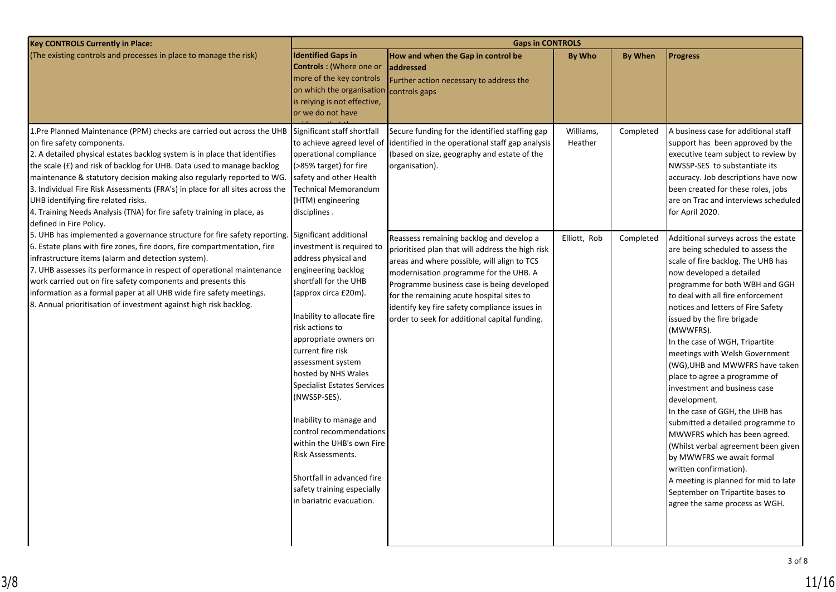| <b>Key CONTROLS Currently in Place:</b>                                                                                                                                                                                                                                                                                                                                                                                                                                                                                                                                                       | <b>Gaps in CONTROLS</b>                                                                                                                                                                                                                                                                                                                                                                                                                                                                                                                                     |                                                                                                                                                                                                                                                                                                                                                                                    |                      |                |                                                                                                                                                                                                                                                                                                                                                                                                                                                                                                                                                                                                                                                                                                                                                                                                                  |  |  |
|-----------------------------------------------------------------------------------------------------------------------------------------------------------------------------------------------------------------------------------------------------------------------------------------------------------------------------------------------------------------------------------------------------------------------------------------------------------------------------------------------------------------------------------------------------------------------------------------------|-------------------------------------------------------------------------------------------------------------------------------------------------------------------------------------------------------------------------------------------------------------------------------------------------------------------------------------------------------------------------------------------------------------------------------------------------------------------------------------------------------------------------------------------------------------|------------------------------------------------------------------------------------------------------------------------------------------------------------------------------------------------------------------------------------------------------------------------------------------------------------------------------------------------------------------------------------|----------------------|----------------|------------------------------------------------------------------------------------------------------------------------------------------------------------------------------------------------------------------------------------------------------------------------------------------------------------------------------------------------------------------------------------------------------------------------------------------------------------------------------------------------------------------------------------------------------------------------------------------------------------------------------------------------------------------------------------------------------------------------------------------------------------------------------------------------------------------|--|--|
| (The existing controls and processes in place to manage the risk)                                                                                                                                                                                                                                                                                                                                                                                                                                                                                                                             | <b>Identified Gaps in</b><br><b>Controls: (Where one or</b><br>more of the key controls<br>on which the organisation<br>is relying is not effective,<br>or we do not have                                                                                                                                                                                                                                                                                                                                                                                   | How and when the Gap in control be<br><b>addressed</b><br>Further action necessary to address the<br>controls gaps                                                                                                                                                                                                                                                                 | <b>By Who</b>        | <b>By When</b> | <b>Progress</b>                                                                                                                                                                                                                                                                                                                                                                                                                                                                                                                                                                                                                                                                                                                                                                                                  |  |  |
| 1.Pre Planned Maintenance (PPM) checks are carried out across the UHB Significant staff shortfall<br>on fire safety components.<br>2. A detailed physical estates backlog system is in place that identifies<br>the scale (£) and risk of backlog for UHB. Data used to manage backlog<br>maintenance & statutory decision making also regularly reported to WG.<br>3. Individual Fire Risk Assessments (FRA's) in place for all sites across the<br>UHB identifying fire related risks.<br>4. Training Needs Analysis (TNA) for fire safety training in place, as<br>defined in Fire Policy. | to achieve agreed level of<br>operational compliance<br>(>85% target) for fire<br>safety and other Health<br><b>Technical Memorandum</b><br>(HTM) engineering<br>disciplines.                                                                                                                                                                                                                                                                                                                                                                               | Secure funding for the identified staffing gap<br>identified in the operational staff gap analysis<br>(based on size, geography and estate of the<br>organisation).                                                                                                                                                                                                                | Williams,<br>Heather | Completed      | A business case for additional staff<br>support has been approved by the<br>executive team subject to review by<br>NWSSP-SES to substantiate its<br>accuracy. Job descriptions have now<br>been created for these roles, jobs<br>are on Trac and interviews scheduled<br>for April 2020.                                                                                                                                                                                                                                                                                                                                                                                                                                                                                                                         |  |  |
| 5. UHB has implemented a governance structure for fire safety reporting.<br>6. Estate plans with fire zones, fire doors, fire compartmentation, fire<br>infrastructure items (alarm and detection system).<br>7. UHB assesses its performance in respect of operational maintenance<br>work carried out on fire safety components and presents this<br>information as a formal paper at all UHB wide fire safety meetings.<br>8. Annual prioritisation of investment against high risk backlog.                                                                                               | Significant additional<br>investment is required to<br>address physical and<br>engineering backlog<br>shortfall for the UHB<br>(approx circa £20m).<br>Inability to allocate fire<br>risk actions to<br>appropriate owners on<br>current fire risk<br>assessment system<br>hosted by NHS Wales<br><b>Specialist Estates Services</b><br>(NWSSP-SES).<br>Inability to manage and<br>control recommendations<br>within the UHB's own Fire<br><b>Risk Assessments.</b><br>Shortfall in advanced fire<br>safety training especially<br>in bariatric evacuation. | Reassess remaining backlog and develop a<br>prioritised plan that will address the high risk<br>areas and where possible, will align to TCS<br>modernisation programme for the UHB. A<br>Programme business case is being developed<br>for the remaining acute hospital sites to<br>identify key fire safety compliance issues in<br>order to seek for additional capital funding. | Elliott, Rob         | Completed      | Additional surveys across the estate<br>are being scheduled to assess the<br>scale of fire backlog. The UHB has<br>now developed a detailed<br>programme for both WBH and GGH<br>to deal with all fire enforcement<br>notices and letters of Fire Safety<br>issued by the fire brigade<br>(MWWFRS).<br>In the case of WGH, Tripartite<br>meetings with Welsh Government<br>(WG), UHB and MWWFRS have taken<br>place to agree a programme of<br>investment and business case<br>development.<br>In the case of GGH, the UHB has<br>submitted a detailed programme to<br>MWWFRS which has been agreed.<br>(Whilst verbal agreement been given<br>by MWWFRS we await formal<br>written confirmation).<br>A meeting is planned for mid to late<br>September on Tripartite bases to<br>agree the same process as WGH. |  |  |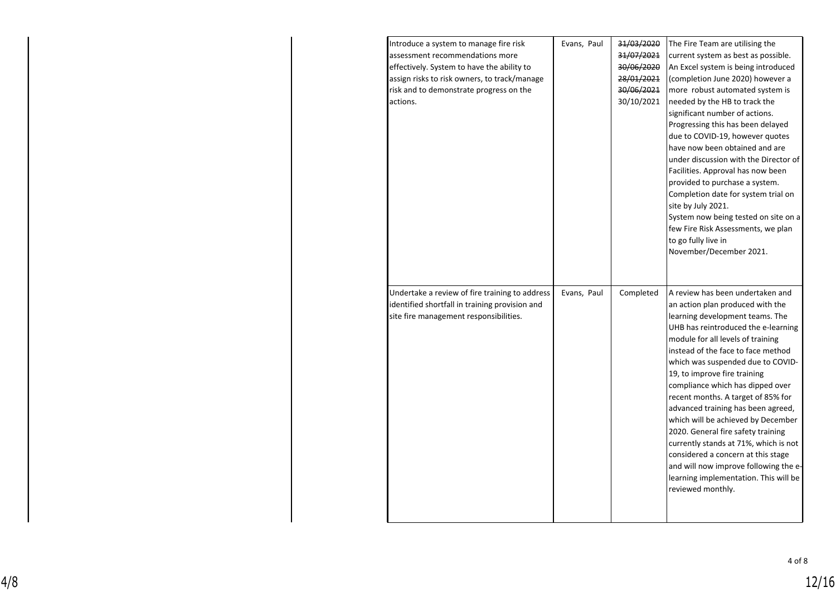| Introduce a system to manage fire risk<br>assessment recommendations more<br>effectively. System to have the ability to<br>assign risks to risk owners, to track/manage<br>risk and to demonstrate progress on the<br>actions. | Evans, Paul | 31/03/2020<br>31/07/2021<br>30/06/2020<br>28/01/2021<br>30/06/2021<br>30/10/2021 | The Fire Team are utilising the<br>current system as best as possible.<br>An Excel system is being introduced<br>(completion June 2020) however a<br>more robust automated system is<br>needed by the HB to track the<br>significant number of actions.<br>Progressing this has been delayed<br>due to COVID-19, however quotes<br>have now been obtained and are<br>under discussion with the Director of<br>Facilities. Approval has now been<br>provided to purchase a system.<br>Completion date for system trial on<br>site by July 2021.<br>System now being tested on site on a<br>few Fire Risk Assessments, we plan<br>to go fully live in<br>November/December 2021.   |
|--------------------------------------------------------------------------------------------------------------------------------------------------------------------------------------------------------------------------------|-------------|----------------------------------------------------------------------------------|----------------------------------------------------------------------------------------------------------------------------------------------------------------------------------------------------------------------------------------------------------------------------------------------------------------------------------------------------------------------------------------------------------------------------------------------------------------------------------------------------------------------------------------------------------------------------------------------------------------------------------------------------------------------------------|
| Undertake a review of fire training to address<br>identified shortfall in training provision and<br>site fire management responsibilities.                                                                                     | Evans, Paul | Completed                                                                        | A review has been undertaken and<br>an action plan produced with the<br>learning development teams. The<br>UHB has reintroduced the e-learning<br>module for all levels of training<br>instead of the face to face method<br>which was suspended due to COVID-<br>19, to improve fire training<br>compliance which has dipped over<br>recent months. A target of 85% for<br>advanced training has been agreed,<br>which will be achieved by December<br>2020. General fire safety training<br>currently stands at 71%, which is not<br>considered a concern at this stage<br>and will now improve following the e-<br>learning implementation. This will be<br>reviewed monthly. |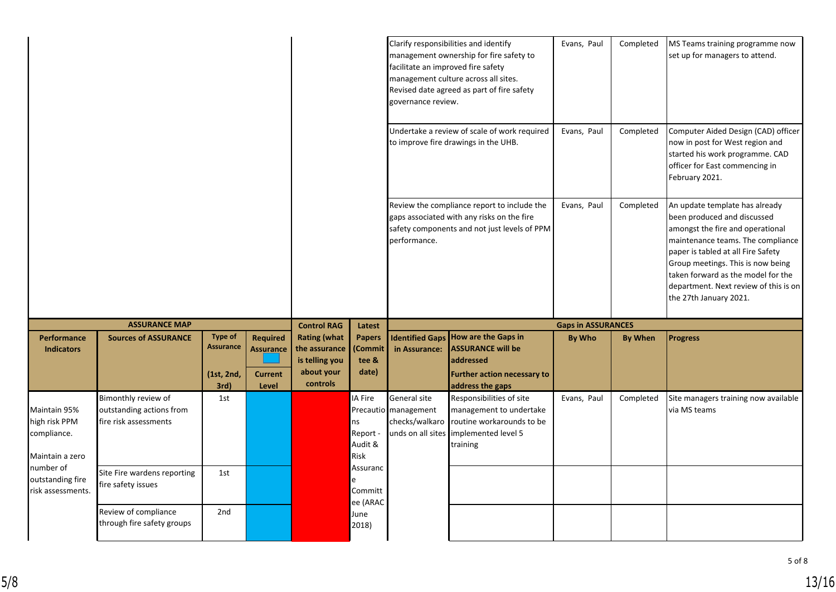|                                                                 |                                                                          |                                                          |                                                                |                                                                                                                                                           | facilitate an improved fire safety<br>governance review. | Clarify responsibilities and identify<br>management ownership for fire safety to<br>management culture across all sites.<br>Revised date agreed as part of fire safety | Evans, Paul                                                                                                                            | Completed                                                                                                                                                                                                                                                                                                                  | MS Teams training programme now<br>set up for managers to attend. |                                                                                                                                                               |
|-----------------------------------------------------------------|--------------------------------------------------------------------------|----------------------------------------------------------|----------------------------------------------------------------|-----------------------------------------------------------------------------------------------------------------------------------------------------------|----------------------------------------------------------|------------------------------------------------------------------------------------------------------------------------------------------------------------------------|----------------------------------------------------------------------------------------------------------------------------------------|----------------------------------------------------------------------------------------------------------------------------------------------------------------------------------------------------------------------------------------------------------------------------------------------------------------------------|-------------------------------------------------------------------|---------------------------------------------------------------------------------------------------------------------------------------------------------------|
|                                                                 |                                                                          |                                                          |                                                                |                                                                                                                                                           |                                                          |                                                                                                                                                                        | Undertake a review of scale of work required<br>to improve fire drawings in the UHB.                                                   | Evans, Paul                                                                                                                                                                                                                                                                                                                | Completed                                                         | Computer Aided Design (CAD) officer<br>now in post for West region and<br>started his work programme. CAD<br>officer for East commencing in<br>February 2021. |
|                                                                 |                                                                          |                                                          |                                                                | Review the compliance report to include the<br>gaps associated with any risks on the fire<br>safety components and not just levels of PPM<br>performance. |                                                          | Evans, Paul                                                                                                                                                            | Completed                                                                                                                              | An update template has already<br>been produced and discussed<br>amongst the fire and operational<br>maintenance teams. The compliance<br>paper is tabled at all Fire Safety<br>Group meetings. This is now being<br>taken forward as the model for the<br>department. Next review of this is on<br>the 27th January 2021. |                                                                   |                                                                                                                                                               |
|                                                                 |                                                                          |                                                          |                                                                |                                                                                                                                                           |                                                          |                                                                                                                                                                        |                                                                                                                                        |                                                                                                                                                                                                                                                                                                                            |                                                                   |                                                                                                                                                               |
|                                                                 | <b>ASSURANCE MAP</b>                                                     |                                                          |                                                                | <b>Control RAG</b>                                                                                                                                        | Latest                                                   |                                                                                                                                                                        |                                                                                                                                        | <b>Gaps in ASSURANCES</b>                                                                                                                                                                                                                                                                                                  |                                                                   |                                                                                                                                                               |
| <b>Performance</b><br><b>Indicators</b>                         | <b>Sources of ASSURANCE</b>                                              | <b>Type of</b><br><b>Assurance</b><br>(1st, 2nd,<br>3rd) | <b>Required</b><br><b>Assurance</b><br><b>Current</b><br>Level | <b>Rating (what</b><br>the assurance<br>is telling you<br>about your<br>controls                                                                          | <b>Papers</b><br>(Commit<br>tee &<br>date)               | in Assurance:                                                                                                                                                          | Identified Gaps How are the Gaps in<br><b>ASSURANCE will be</b><br>addressed<br><b>Further action necessary to</b><br>address the gaps | <b>By Who</b>                                                                                                                                                                                                                                                                                                              | <b>By When</b>                                                    | <b>Progress</b>                                                                                                                                               |
| Maintain 95%<br>high risk PPM<br>compliance.<br>Maintain a zero | Bimonthly review of<br>outstanding actions from<br>fire risk assessments | 1st                                                      |                                                                |                                                                                                                                                           | IA Fire<br>ns<br>Report -<br>Audit &<br>Risk             | General site<br>Precautio management<br>checks/walkaro<br>unds on all sites                                                                                            | Responsibilities of site<br>management to undertake<br>routine workarounds to be<br>implemented level 5<br>training                    | Evans, Paul                                                                                                                                                                                                                                                                                                                | Completed                                                         | Site managers training now available<br>via MS teams                                                                                                          |
| number of<br>outstanding fire<br>risk assessments.              | Site Fire wardens reporting<br>fire safety issues                        | 1st                                                      |                                                                |                                                                                                                                                           | Assuranc<br>e<br>Committ<br>ee (ARAC                     |                                                                                                                                                                        |                                                                                                                                        |                                                                                                                                                                                                                                                                                                                            |                                                                   |                                                                                                                                                               |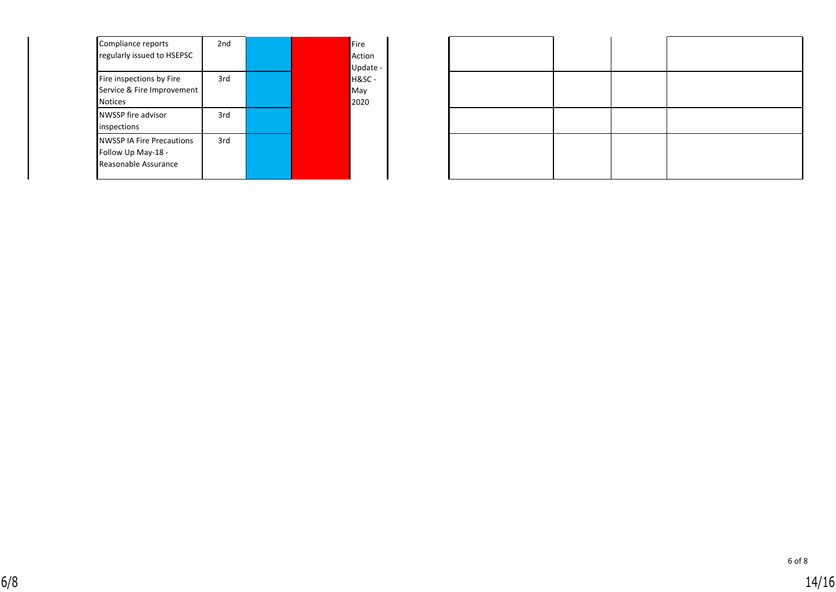| Compliance reports<br>regularly issued to HSEPSC                               | 2nd |  | Fire<br>Action<br>Update - |  |  |
|--------------------------------------------------------------------------------|-----|--|----------------------------|--|--|
| Fire inspections by Fire<br>Service & Fire Improvement<br><b>Notices</b>       | 3rd |  | $H&SC -$<br>May<br>2020    |  |  |
| NWSSP fire advisor<br>inspections                                              | 3rd |  |                            |  |  |
| <b>NWSSP IA Fire Precautions</b><br>Follow Up May-18 -<br>Reasonable Assurance | 3rd |  |                            |  |  |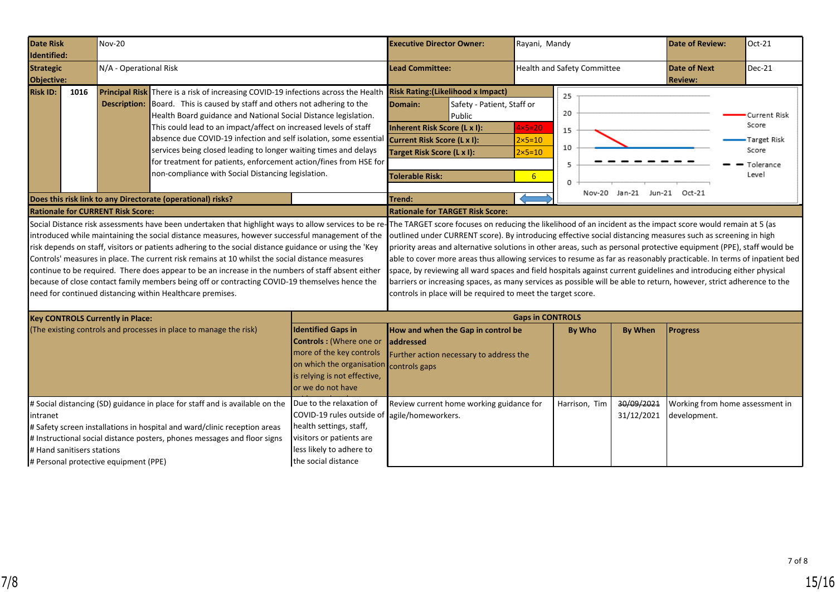<span id="page-14-0"></span>

| <b>Date Risk</b><br>Identified:                                                                                                                                                                                                                                                                                                                                                                                                                                                                                                                                                                                                                                                                                                                                                                        |      | <b>Nov-20</b>                            |                                                                                                                                                                                                                                                                                                                                                                                                                                                                                                                                                                                    |                                                                                                                                                                     | <b>Executive Director Owner:</b>                                                                                                                                                                                    |                                                              |                                                                | Rayani, Mandy                  |                          | <b>Date of Review:</b>                                                                                                                                                                                                                                                                                                                                                                                                                                                                                                                                                                                      | Oct-21                                                              |
|--------------------------------------------------------------------------------------------------------------------------------------------------------------------------------------------------------------------------------------------------------------------------------------------------------------------------------------------------------------------------------------------------------------------------------------------------------------------------------------------------------------------------------------------------------------------------------------------------------------------------------------------------------------------------------------------------------------------------------------------------------------------------------------------------------|------|------------------------------------------|------------------------------------------------------------------------------------------------------------------------------------------------------------------------------------------------------------------------------------------------------------------------------------------------------------------------------------------------------------------------------------------------------------------------------------------------------------------------------------------------------------------------------------------------------------------------------------|---------------------------------------------------------------------------------------------------------------------------------------------------------------------|---------------------------------------------------------------------------------------------------------------------------------------------------------------------------------------------------------------------|--------------------------------------------------------------|----------------------------------------------------------------|--------------------------------|--------------------------|-------------------------------------------------------------------------------------------------------------------------------------------------------------------------------------------------------------------------------------------------------------------------------------------------------------------------------------------------------------------------------------------------------------------------------------------------------------------------------------------------------------------------------------------------------------------------------------------------------------|---------------------------------------------------------------------|
| <b>Strategic</b><br><b>Objective:</b>                                                                                                                                                                                                                                                                                                                                                                                                                                                                                                                                                                                                                                                                                                                                                                  |      | N/A - Operational Risk                   |                                                                                                                                                                                                                                                                                                                                                                                                                                                                                                                                                                                    |                                                                                                                                                                     | <b>Lead Committee:</b>                                                                                                                                                                                              |                                                              | <b>Health and Safety Committee</b>                             |                                |                          | <b>Date of Next</b><br><b>Review:</b>                                                                                                                                                                                                                                                                                                                                                                                                                                                                                                                                                                       | Dec-21                                                              |
| <b>Risk ID:</b>                                                                                                                                                                                                                                                                                                                                                                                                                                                                                                                                                                                                                                                                                                                                                                                        | 1016 |                                          | Principal Risk There is a risk of increasing COVID-19 infections across the Health<br><b>Description:</b> Board. This is caused by staff and others not adhering to the<br>Health Board guidance and National Social Distance legislation.<br>This could lead to an impact/affect on increased levels of staff<br>absence due COVID-19 infection and self isolation, some essential<br>services being closed leading to longer waiting times and delays<br>for treatment for patients, enforcement action/fines from HSE for<br>non-compliance with Social Distancing legislation. |                                                                                                                                                                     | <b>Risk Rating: (Likelihood x Impact)</b><br>Domain:<br>Safety - Patient, Staff or<br>Public<br>Inherent Risk Score (L x I):<br>Current Risk Score (L x I):<br>Target Risk Score (L x I):<br><b>Tolerable Risk:</b> |                                                              | $4x5=20$<br>$2\times 5=10$<br>$2\times 5=10$<br>6 <sup>1</sup> | 25<br>20<br>15<br>10<br>5<br>0 |                          |                                                                                                                                                                                                                                                                                                                                                                                                                                                                                                                                                                                                             | Current Risk<br>Score<br>Target Risk<br>Score<br>Tolerance<br>Level |
|                                                                                                                                                                                                                                                                                                                                                                                                                                                                                                                                                                                                                                                                                                                                                                                                        |      |                                          | Does this risk link to any Directorate (operational) risks?                                                                                                                                                                                                                                                                                                                                                                                                                                                                                                                        |                                                                                                                                                                     | Trend:                                                                                                                                                                                                              |                                                              |                                                                | Nov-20                         | Jan-21 Jun-21 Oct-21     |                                                                                                                                                                                                                                                                                                                                                                                                                                                                                                                                                                                                             |                                                                     |
|                                                                                                                                                                                                                                                                                                                                                                                                                                                                                                                                                                                                                                                                                                                                                                                                        |      | <b>Rationale for CURRENT Risk Score:</b> |                                                                                                                                                                                                                                                                                                                                                                                                                                                                                                                                                                                    |                                                                                                                                                                     |                                                                                                                                                                                                                     | <b>Rationale for TARGET Risk Score:</b>                      |                                                                |                                |                          |                                                                                                                                                                                                                                                                                                                                                                                                                                                                                                                                                                                                             |                                                                     |
| Social Distance risk assessments have been undertaken that highlight ways to allow services to be re-The TARGET score focuses on reducing the likelihood of an incident as the impact score would remain at 5 (as<br>introduced while maintaining the social distance measures, however successful management of the<br>risk depends on staff, visitors or patients adhering to the social distance guidance or using the 'Key<br>Controls' measures in place. The current risk remains at 10 whilst the social distance measures<br>continue to be required. There does appear to be an increase in the numbers of staff absent either<br>because of close contact family members being off or contracting COVID-19 themselves hence the<br>need for continued distancing within Healthcare premises. |      |                                          |                                                                                                                                                                                                                                                                                                                                                                                                                                                                                                                                                                                    |                                                                                                                                                                     |                                                                                                                                                                                                                     | controls in place will be required to meet the target score. |                                                                |                                |                          | outlined under CURRENT score). By introducing effective social distancing measures such as screening in high<br>priority areas and alternative solutions in other areas, such as personal protective equipment (PPE), staff would be<br>able to cover more areas thus allowing services to resume as far as reasonably practicable. In terms of inpatient bed<br>space, by reviewing all ward spaces and field hospitals against current guidelines and introducing either physical<br>barriers or increasing spaces, as many services as possible will be able to return, however, strict adherence to the |                                                                     |
|                                                                                                                                                                                                                                                                                                                                                                                                                                                                                                                                                                                                                                                                                                                                                                                                        |      | <b>Key CONTROLS Currently in Place:</b>  |                                                                                                                                                                                                                                                                                                                                                                                                                                                                                                                                                                                    |                                                                                                                                                                     |                                                                                                                                                                                                                     |                                                              | <b>Gaps in CONTROLS</b>                                        |                                |                          |                                                                                                                                                                                                                                                                                                                                                                                                                                                                                                                                                                                                             |                                                                     |
| (The existing controls and processes in place to manage the risk)                                                                                                                                                                                                                                                                                                                                                                                                                                                                                                                                                                                                                                                                                                                                      |      |                                          |                                                                                                                                                                                                                                                                                                                                                                                                                                                                                                                                                                                    | <b>Identified Gaps in</b><br>Controls : (Where one or<br>more of the key controls<br>on which the organisation<br>is relying is not effective,<br>or we do not have | How and when the Gap in control be<br>addressed<br>Further action necessary to address the<br>controls gaps                                                                                                         |                                                              |                                                                | <b>By Who</b>                  | <b>By When</b>           | <b>Progress</b>                                                                                                                                                                                                                                                                                                                                                                                                                                                                                                                                                                                             |                                                                     |
| # Social distancing (SD) guidance in place for staff and is available on the<br>intranet<br># Safety screen installations in hospital and ward/clinic reception areas<br># Instructional social distance posters, phones messages and floor signs<br># Hand sanitisers stations<br># Personal protective equipment (PPE)                                                                                                                                                                                                                                                                                                                                                                                                                                                                               |      |                                          |                                                                                                                                                                                                                                                                                                                                                                                                                                                                                                                                                                                    | Due to the relaxation of<br>COVID-19 rules outside of<br>health settings, staff,<br>visitors or patients are<br>less likely to adhere to<br>the social distance     | agile/homeworkers.                                                                                                                                                                                                  | Review current home working guidance for                     |                                                                | Harrison, Tim                  | 30/09/2021<br>31/12/2021 | Working from home assessment in<br>development.                                                                                                                                                                                                                                                                                                                                                                                                                                                                                                                                                             |                                                                     |